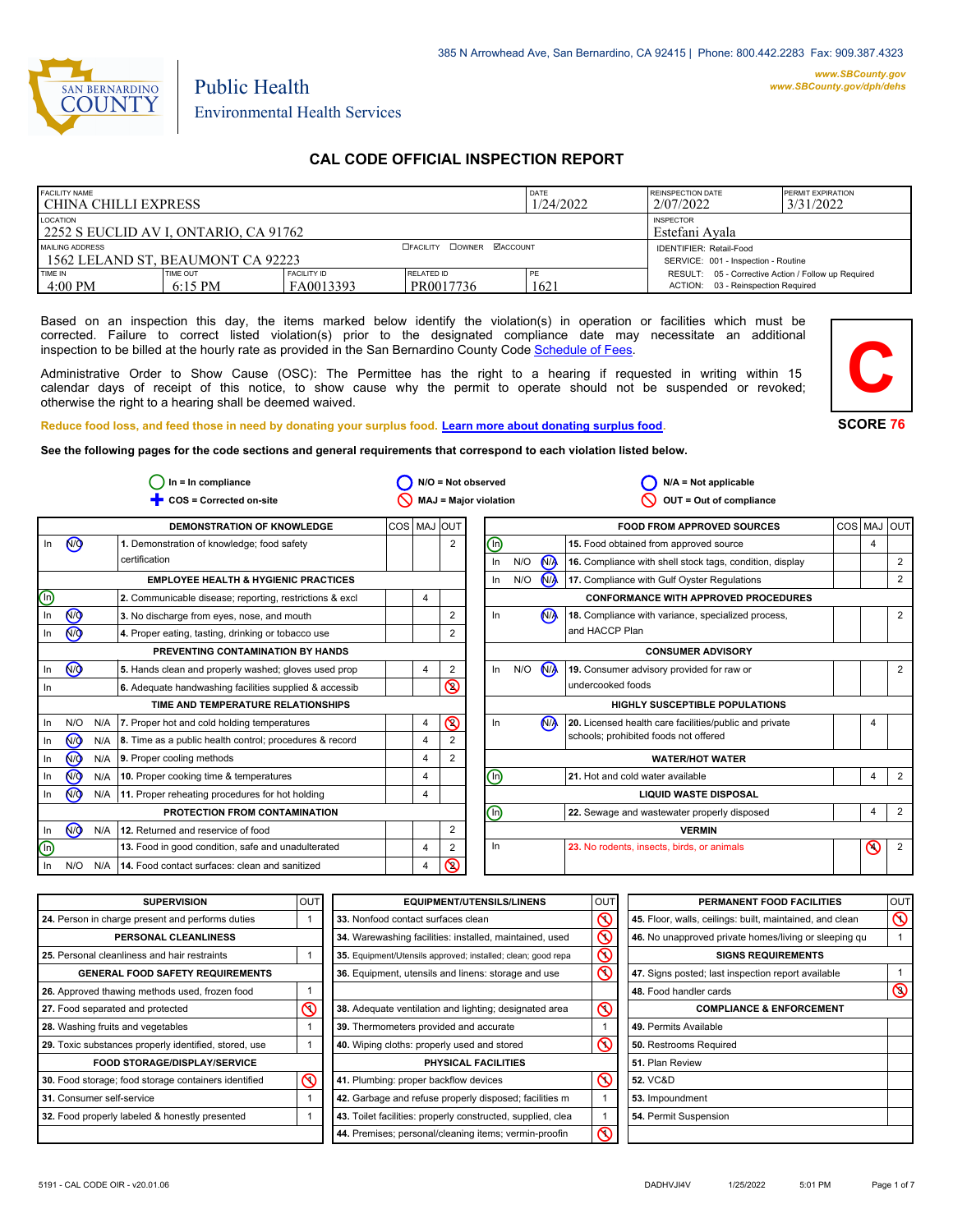

# Public Health Environmental Health Services

# **CAL CODE OFFICIAL INSPECTION REPORT**

| <b>FACILITY NAME</b><br>l CHINA CHILLI EXPRESS                                                 |                       |                                 | <b>DATE</b><br>1/24/2022         | REINSPECTION DATE<br>2/07/2022 | <b>PERMIT EXPIRATION</b><br>3/31/2022                                                     |  |  |
|------------------------------------------------------------------------------------------------|-----------------------|---------------------------------|----------------------------------|--------------------------------|-------------------------------------------------------------------------------------------|--|--|
| <b>LOCATION</b><br><b>INSPECTOR</b><br>2252 S EUCLID AV I, ONTARIO, CA 91762<br>Estefani Avala |                       |                                 |                                  |                                |                                                                                           |  |  |
| MAILING ADDRESS<br>1562 LELAND ST, BEAUMONT CA 92223                                           |                       |                                 | <b>OFACILITY COWNER MACCOUNT</b> |                                | <b>IDENTIFIER: Retail-Food</b><br>SERVICE: 001 - Inspection - Routine                     |  |  |
| TIME IN<br>$4:00$ PM                                                                           | TIME OUT<br>$6:15$ PM | <b>FACILITY ID</b><br>FA0013393 | <b>RELATED ID</b><br>PR0017736   | PE<br>1621                     | RESULT: 05 - Corrective Action / Follow up Required<br>ACTION: 03 - Reinspection Required |  |  |

Based on an inspection this day, the items marked below identify the violation(s) in operation or facilities which must be corrected. Failure to correct listed violation(s) prior to the designated compliance date may necessitate an additional inspection to be billed at the hourly rate as provided in the San Bernardino County Co[de Schedule of Fees.](https://codelibrary.amlegal.com/codes/sanbernardino/latest/sanberncty_ca/0-0-0-122474#JD_16.0213B)

Administrative Order to Show Cause (OSC): The Permittee has the right to a hearing if requested in writing within 15 calendar days of receipt of this notice, to show cause why the permit to operate should not be suspended or revoked; otherwise the right to a hearing shall be deemed waived.



#### **Reduce food loss, and feed those in need by donating your surplus f[ood. Learn more about donating surplus food.](https://wp.sbcounty.gov/dph/programs/ehs/charitable-food-service/)**

**See the following pages for the code sections and general requirements that correspond to each violation listed below.**

|                | $ln = ln$ compliance |     |                                                               |                |   | $N/O = Not observed$ | $N/A = Not applicable$       |     |                      |                                                          |  |         |                |
|----------------|----------------------|-----|---------------------------------------------------------------|----------------|---|----------------------|------------------------------|-----|----------------------|----------------------------------------------------------|--|---------|----------------|
|                |                      |     | COS = Corrected on-site                                       |                |   |                      | MAJ = Major violation        |     |                      | OUT = Out of compliance                                  |  |         |                |
|                |                      |     | <b>DEMONSTRATION OF KNOWLEDGE</b>                             | COS   MAJ  OUT |   |                      |                              |     |                      | <b>FOOD FROM APPROVED SOURCES</b>                        |  |         | COS MAJ OUT    |
| In             | <b>CD</b>            |     | 1. Demonstration of knowledge; food safety                    |                |   | 2                    | ⓪                            |     |                      | 15. Food obtained from approved source                   |  | 4       |                |
|                |                      |     | certification                                                 |                |   |                      | In                           | N/O | <b>MA</b>            | 16. Compliance with shell stock tags, condition, display |  |         | $\overline{2}$ |
|                |                      |     | <b>EMPLOYEE HEALTH &amp; HYGIENIC PRACTICES</b>               |                |   |                      | In                           | N/O | <b>N<sub>A</sub></b> | 17. Compliance with Gulf Oyster Regulations              |  |         | $\overline{2}$ |
| $\circledcirc$ |                      |     | 2. Communicable disease; reporting, restrictions & excl       |                | 4 |                      |                              |     |                      | <b>CONFORMANCE WITH APPROVED PROCEDURES</b>              |  |         |                |
| $\ln$          | $^{\circledR}$       |     | 3. No discharge from eyes, nose, and mouth                    |                |   | 2                    | In                           |     | N <sub>A</sub>       | 18. Compliance with variance, specialized process,       |  |         | $\overline{2}$ |
| In             | <b>ඹ</b>             |     | 4. Proper eating, tasting, drinking or tobacco use            |                |   |                      |                              |     |                      | and HACCP Plan                                           |  |         |                |
|                |                      |     | PREVENTING CONTAMINATION BY HANDS                             |                |   |                      |                              |     |                      | <b>CONSUMER ADVISORY</b>                                 |  |         |                |
| In             | $\sqrt{9}$           |     | 5. Hands clean and properly washed; gloves used prop          |                | 4 | 2                    | In                           | N/O | <b>N<sub>A</sub></b> | 19. Consumer advisory provided for raw or                |  |         | 2              |
| In             |                      |     | 6. Adequate handwashing facilities supplied & accessib        |                |   | $\circledcirc$       |                              |     |                      | undercooked foods                                        |  |         |                |
|                |                      |     | TIME AND TEMPERATURE RELATIONSHIPS                            |                |   |                      |                              |     |                      | <b>HIGHLY SUSCEPTIBLE POPULATIONS</b>                    |  |         |                |
| In             | N/O                  | N/A | 7. Proper hot and cold holding temperatures                   |                | 4 | $\circledcirc$       | In                           |     | N <sub>A</sub>       | 20. Licensed health care facilities/public and private   |  |         |                |
| In             | (ਔ                   |     | N/A   8. Time as a public health control; procedures & record |                | 4 |                      |                              |     |                      | schools; prohibited foods not offered                    |  |         |                |
| In             | <b>ඹ</b>             | N/A | 9. Proper cooling methods                                     |                | 4 | 2                    |                              |     |                      | <b>WATER/HOT WATER</b>                                   |  |         |                |
| In             | <b>√</b>             | N/A | 10. Proper cooking time & temperatures                        |                | 4 |                      | ℗                            |     |                      | 21. Hot and cold water available                         |  | 4       | 2              |
| In             | (₩                   |     | N/A 11. Proper reheating procedures for hot holding           |                | 4 |                      | <b>LIQUID WASTE DISPOSAL</b> |     |                      |                                                          |  |         |                |
|                |                      |     | PROTECTION FROM CONTAMINATION                                 |                |   |                      | ⋒                            |     |                      | 22. Sewage and wastewater properly disposed              |  | 4       | $\overline{2}$ |
| In             | (ਔ                   |     | N/A 12. Returned and reservice of food                        |                |   | 2                    |                              |     |                      | <b>VERMIN</b>                                            |  |         |                |
| $\circledcirc$ |                      |     | 13. Food in good condition, safe and unadulterated            |                | 4 | 2                    | In                           |     |                      | 23. No rodents, insects, birds, or animals               |  | $\odot$ | $\overline{2}$ |
| In             | N/O                  | N/A | 14. Food contact surfaces: clean and sanitized                |                | 4 | ଷ                    |                              |     |                      |                                                          |  |         |                |

| <b>SUPERVISION</b>                                    | louti    | <b>EQUIPMENT/UTENSILS/LINENS</b>                             | <b>OUT</b>              | PERMANENT FOOD FACILITIES                                | <b>OUT</b>     |
|-------------------------------------------------------|----------|--------------------------------------------------------------|-------------------------|----------------------------------------------------------|----------------|
| 24. Person in charge present and performs duties      |          | 33. Nonfood contact surfaces clean                           | $\infty$                | 45. Floor, walls, ceilings: built, maintained, and clean | $\circledcirc$ |
| PERSONAL CLEANLINESS                                  |          | 34. Warewashing facilities: installed, maintained, used      | $\overline{\mathsf{O}}$ | 46. No unapproved private homes/living or sleeping qu    |                |
| 25. Personal cleanliness and hair restraints          |          | 35. Equipment/Utensils approved; installed; clean; good repa | $\mathsf{\circledcirc}$ | <b>SIGNS REQUIREMENTS</b>                                |                |
| <b>GENERAL FOOD SAFETY REQUIREMENTS</b>               |          | 36. Equipment, utensils and linens: storage and use          | $\overline{\mathsf{O}}$ | 47. Signs posted; last inspection report available       |                |
| 26. Approved thawing methods used, frozen food        |          |                                                              |                         | 48. Food handler cards                                   | $\circledcirc$ |
| ⋒<br>27. Food separated and protected                 |          | 38. Adequate ventilation and lighting; designated area       | $\infty$                | <b>COMPLIANCE &amp; ENFORCEMENT</b>                      |                |
| 28. Washing fruits and vegetables                     |          | 39. Thermometers provided and accurate                       |                         | 49. Permits Available                                    |                |
| 29. Toxic substances properly identified, stored, use |          | 40. Wiping cloths: properly used and stored                  | $\infty$                | 50. Restrooms Required                                   |                |
| <b>FOOD STORAGE/DISPLAY/SERVICE</b>                   |          | PHYSICAL FACILITIES                                          |                         | 51. Plan Review                                          |                |
| 30. Food storage; food storage containers identified  | $\infty$ | 41. Plumbing: proper backflow devices                        | $\infty$                | <b>52. VC&amp;D</b>                                      |                |
| 31. Consumer self-service                             |          | 42. Garbage and refuse properly disposed; facilities m       |                         | 53. Impoundment                                          |                |
| 32. Food properly labeled & honestly presented        |          | 43. Toilet facilities: properly constructed, supplied, clea  |                         | 54. Permit Suspension                                    |                |
|                                                       |          | 44. Premises; personal/cleaning items; vermin-proofin        | $\overline{\mathsf{O}}$ |                                                          |                |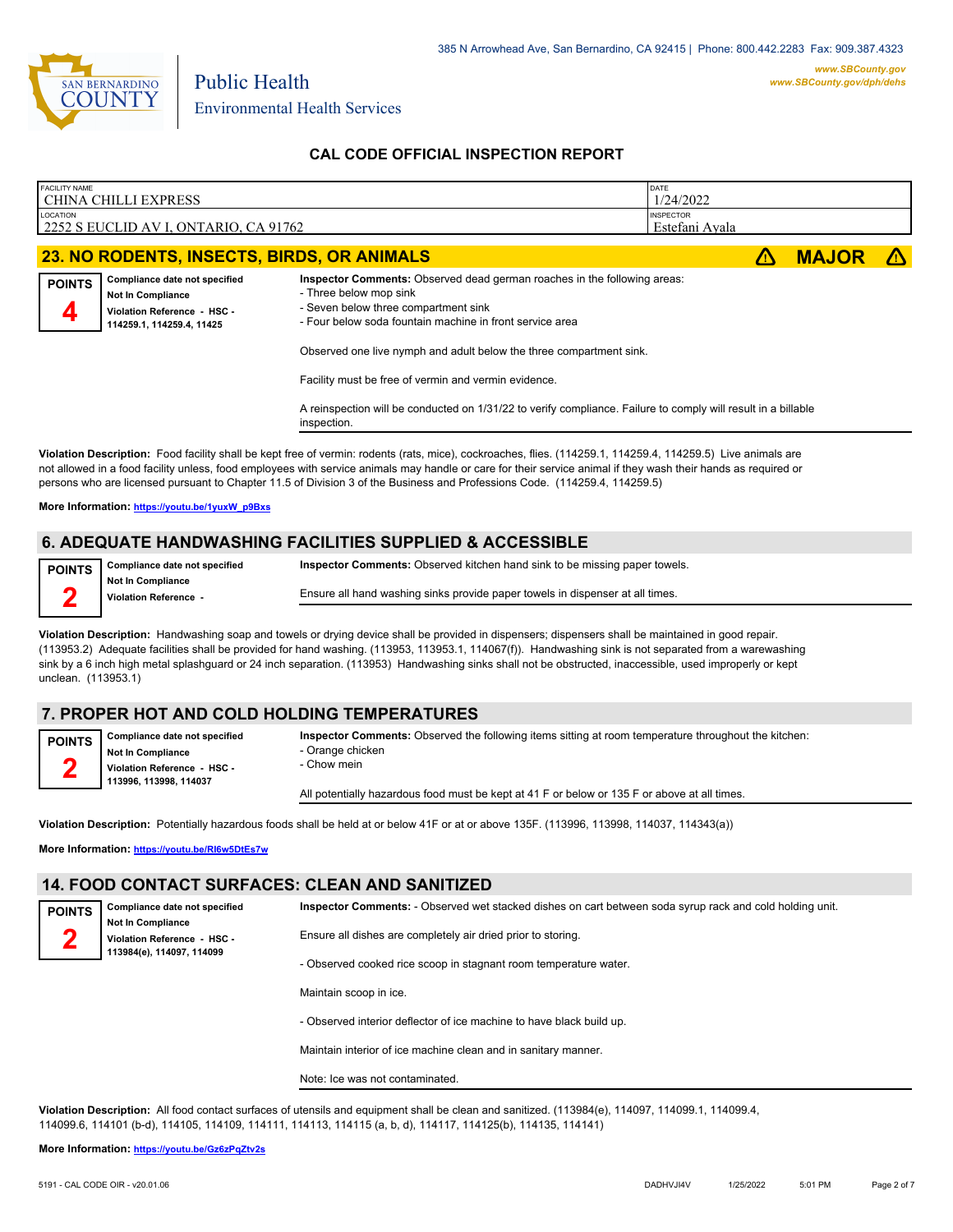

Public Health

# **CAL CODE OFFICIAL INSPECTION REPORT**

| <b>FACILITY NAME</b><br><b>CHINA CHILLI EXPRESS</b>                                                                                                                                                                                                                                                                                                                                                                                                                                                            |                                                       |                                                                                       |                                                                                                               |  |  |  |
|----------------------------------------------------------------------------------------------------------------------------------------------------------------------------------------------------------------------------------------------------------------------------------------------------------------------------------------------------------------------------------------------------------------------------------------------------------------------------------------------------------------|-------------------------------------------------------|---------------------------------------------------------------------------------------|---------------------------------------------------------------------------------------------------------------|--|--|--|
|                                                                                                                                                                                                                                                                                                                                                                                                                                                                                                                | <b>INSPECTOR</b><br>Estefani Ayala                    |                                                                                       |                                                                                                               |  |  |  |
| 23. NO RODENTS, INSECTS, BIRDS, OR ANIMALS                                                                                                                                                                                                                                                                                                                                                                                                                                                                     | 71                                                    | <b>MAJOR</b>                                                                          |                                                                                                               |  |  |  |
| - Three below mop sink<br>- Seven below three compartment sink<br>- Four below soda fountain machine in front service area<br>Observed one live nymph and adult below the three compartment sink.<br>Facility must be free of vermin and vermin evidence.<br>inspection.                                                                                                                                                                                                                                       |                                                       |                                                                                       |                                                                                                               |  |  |  |
| Violation Description: Food facility shall be kept free of vermin: rodents (rats, mice), cockroaches, flies. (114259.1, 114259.4, 114259.5) Live animals are<br>not allowed in a food facility unless, food employees with service animals may handle or care for their service animal if they wash their hands as required or<br>persons who are licensed pursuant to Chapter 11.5 of Division 3 of the Business and Professions Code. (114259.4, 114259.5)<br>More Information: https://youtu.be/1yuxW_p9Bxs |                                                       |                                                                                       |                                                                                                               |  |  |  |
|                                                                                                                                                                                                                                                                                                                                                                                                                                                                                                                | ADEOUATE HANDWASHING FACILITIES SUPPLIED & ACCESSIBLE | 1/24/2022<br>Inspector Comments: Observed dead german roaches in the following areas: | A reinspection will be conducted on 1/31/22 to verify compliance. Failure to comply will result in a billable |  |  |  |

# **6. ADEQUATE HANDWASHING FACILITIES SUPPLIED & ACCESSIBLE**

**Compliance date not specified Not In Compliance POINTS 2**

**Inspector Comments:** Observed kitchen hand sink to be missing paper towels.

**Violation Reference -** 

Ensure all hand washing sinks provide paper towels in dispenser at all times.

**Violation Description:** Handwashing soap and towels or drying device shall be provided in dispensers; dispensers shall be maintained in good repair. (113953.2) Adequate facilities shall be provided for hand washing. (113953, 113953.1, 114067(f)). Handwashing sink is not separated from a warewashing sink by a 6 inch high metal splashguard or 24 inch separation. (113953) Handwashing sinks shall not be obstructed, inaccessible, used improperly or kept unclean. (113953.1)

# **7. PROPER HOT AND COLD HOLDING TEMPERATURES**

**Compliance date not specified POINTS**

**Not In Compliance Violation Reference - HSC - 113996, 113998, 114037**

**Inspector Comments:** Observed the following items sitting at room temperature throughout the kitchen:

- Orange chicken - Chow mein

All potentially hazardous food must be kept at 41 F or below or 135 F or above at all times.

**Violation Description:** Potentially hazardous foods shall be held at or below 41F or at or above 135F. (113996, 113998, 114037, 114343(a))

**More Information: <https://youtu.be/RI6w5DtEs7w>**

**Not In Compliance Violation Reference - HSC - 113984(e), 114097, 114099**

**Compliance date not specified**

# **14. FOOD CONTACT SURFACES: CLEAN AND SANITIZED**

**POINTS 2**

**2**

**Inspector Comments:** - Observed wet stacked dishes on cart between soda syrup rack and cold holding unit.

Ensure all dishes are completely air dried prior to storing.

- Observed cooked rice scoop in stagnant room temperature water.

Maintain scoop in ice.

- Observed interior deflector of ice machine to have black build up.

Maintain interior of ice machine clean and in sanitary manner.

Note: Ice was not contaminated.

**Violation Description:** All food contact surfaces of utensils and equipment shall be clean and sanitized. (113984(e), 114097, 114099.1, 114099.4, 114099.6, 114101 (b-d), 114105, 114109, 114111, 114113, 114115 (a, b, d), 114117, 114125(b), 114135, 114141)

#### **More Information: <https://youtu.be/Gz6zPqZtv2s>**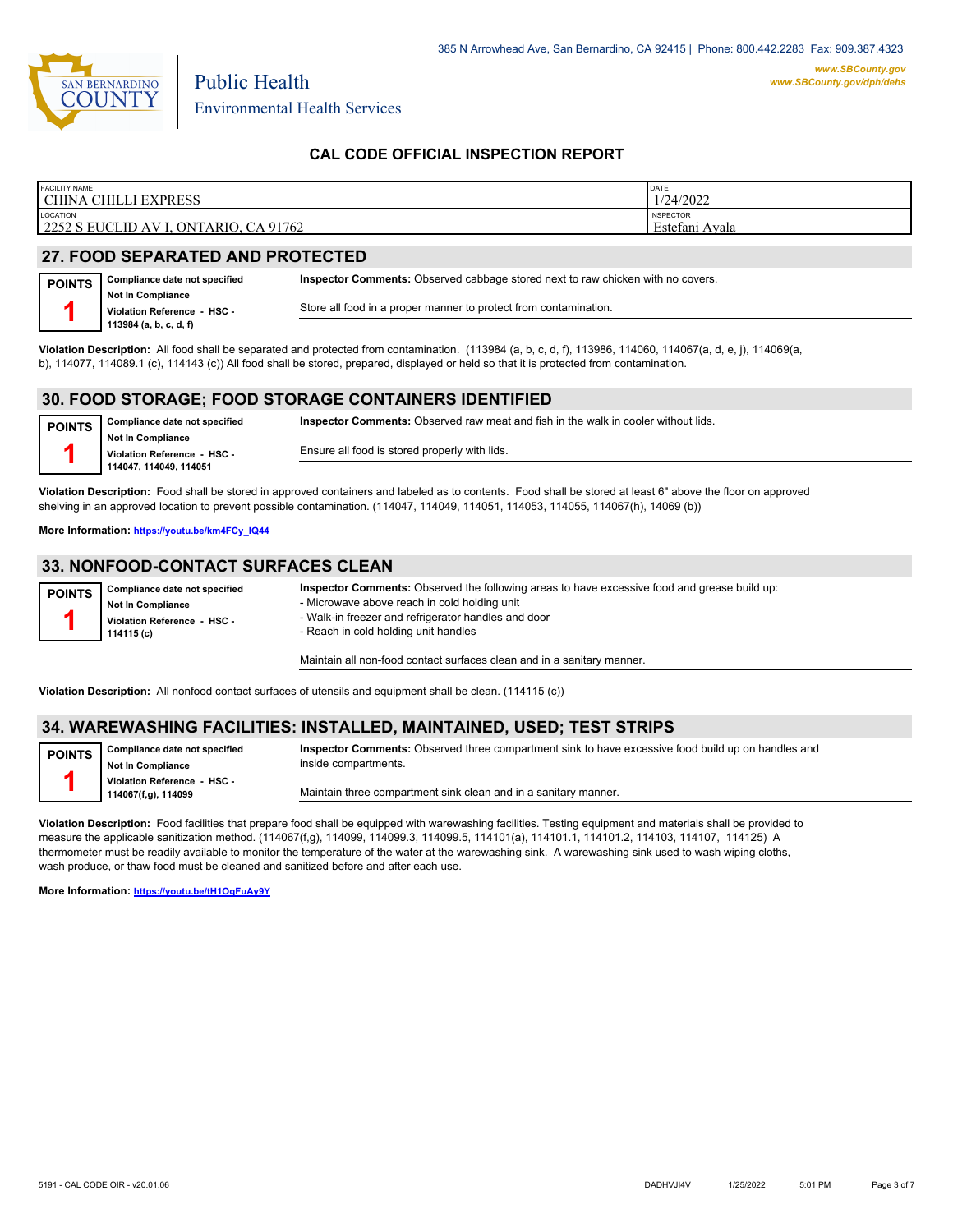

Public Health

# **CAL CODE OFFICIAL INSPECTION REPORT**

| <b>FACILITY NAME</b>                  | DATE             |
|---------------------------------------|------------------|
| CHINA CHILLI EXPRESS                  | 1/24/2022        |
| <b>LOCATION</b>                       | <b>INSPECTOR</b> |
| 2252 S EUCLID AV I, ONTARIO, CA 91762 | Estefani Avala   |

**Inspector Comments:** Observed raw meat and fish in the walk in cooler without lids.

# **27. FOOD SEPARATED AND PROTECTED**

| <b>POINTS</b> | Compliance date not specified                           | Inspector Comments: Observed cabbage stored next to raw chicken with no covers. |
|---------------|---------------------------------------------------------|---------------------------------------------------------------------------------|
|               | <b>Not In Compliance</b><br>Violation Reference - HSC - | Store all food in a proper manner to protect from contamination.                |
|               | 113984 (a, b, c, d, f)                                  |                                                                                 |

**Violation Description:** All food shall be separated and protected from contamination. (113984 (a, b, c, d, f), 113986, 114060, 114067(a, d, e, j), 114069(a, b), 114077, 114089.1 (c), 114143 (c)) All food shall be stored, prepared, displayed or held so that it is protected from contamination.

### **30. FOOD STORAGE; FOOD STORAGE CONTAINERS IDENTIFIED**

**Compliance date not specified Not In Compliance Violation Reference - HSC - 114047, 114049, 114051 POINTS 1**

Ensure all food is stored properly with lids.

**Violation Description:** Food shall be stored in approved containers and labeled as to contents. Food shall be stored at least 6" above the floor on approved shelving in an approved location to prevent possible contamination. (114047, 114049, 114051, 114053, 114055, 114067(h), 14069 (b))

**More Information: [https://youtu.be/km4FCy\\_IQ44](https://youtu.be/km4FCy_IQ44)**

### **33. NONFOOD-CONTACT SURFACES CLEAN**

| <b>POINTS</b> | Compliance date not specified             | Inspector Comments: Observed the following areas to have excessive food and grease build up: |
|---------------|-------------------------------------------|----------------------------------------------------------------------------------------------|
|               | <b>Not In Compliance</b>                  | - Microwave above reach in cold holding unit                                                 |
|               | Violation Reference - HSC -<br>114115 (c) | - Walk-in freezer and refrigerator handles and door<br>- Reach in cold holding unit handles  |
|               |                                           |                                                                                              |

Maintain all non-food contact surfaces clean and in a sanitary manner.

**Violation Description:** All nonfood contact surfaces of utensils and equipment shall be clean. (114115 (c))

### **34. WAREWASHING FACILITIES: INSTALLED, MAINTAINED, USED; TEST STRIPS**

| <b>POINTS</b> | Compliance date not specified<br><b>Not In Compliance</b> | Inspector Comments: Observed three compartment sink to have excessive food build up on handles and<br>inside compartments. |
|---------------|-----------------------------------------------------------|----------------------------------------------------------------------------------------------------------------------------|
|               | Violation Reference - HSC -<br>114067(f,g), 114099        | Maintain three compartment sink clean and in a sanitary manner.                                                            |

**Violation Description:** Food facilities that prepare food shall be equipped with warewashing facilities. Testing equipment and materials shall be provided to measure the applicable sanitization method. (114067(f,g), 114099, 114099.3, 114099.5, 114101(a), 114101.1, 114101.2, 114103, 114107, 114125) A thermometer must be readily available to monitor the temperature of the water at the warewashing sink. A warewashing sink used to wash wiping cloths, wash produce, or thaw food must be cleaned and sanitized before and after each use.

**More Information: <https://youtu.be/tH1OqFuAy9Y>**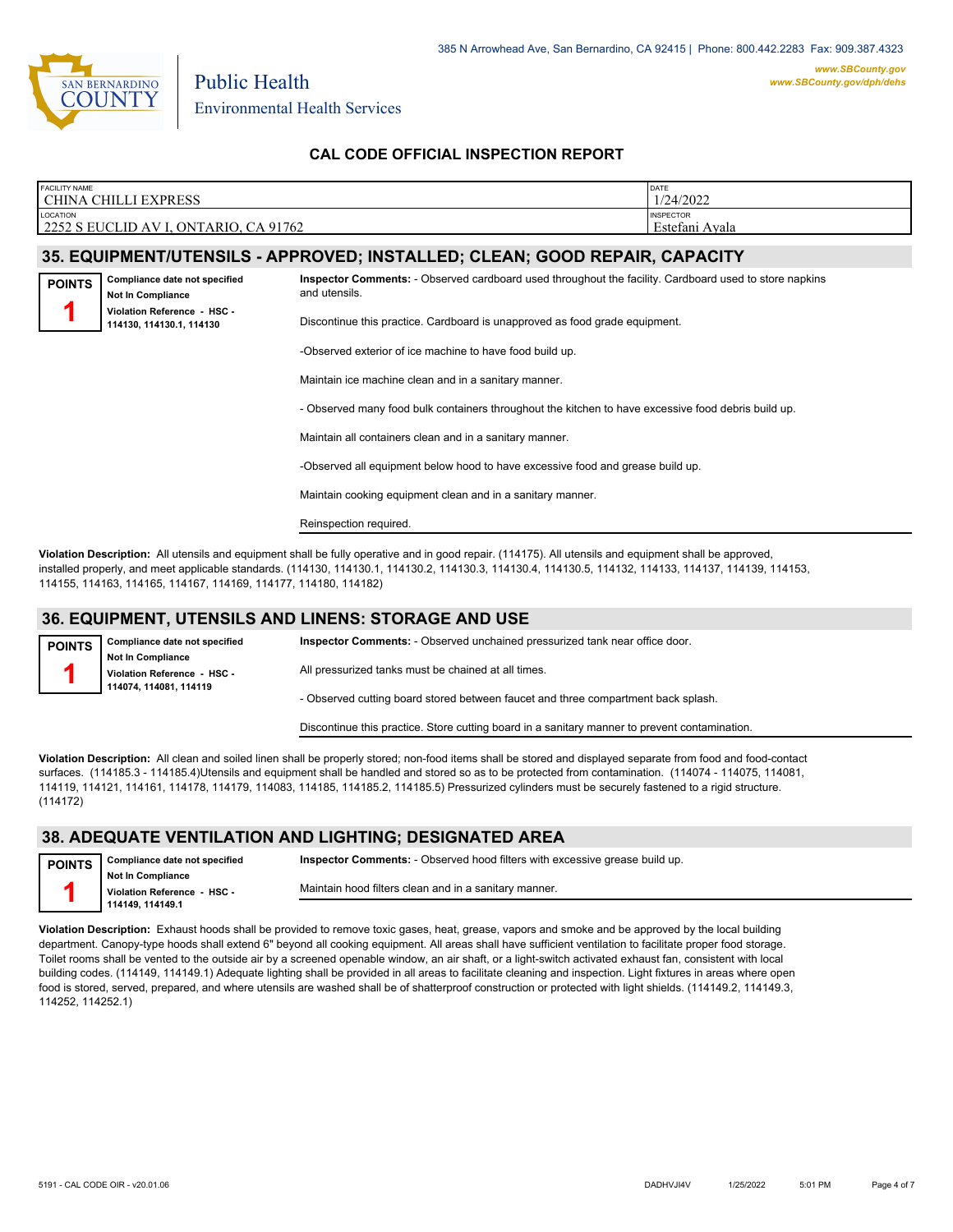

**POINTS 1**

Environmental Health Services

Public Health

# **CAL CODE OFFICIAL INSPECTION REPORT**

| <b>FACILITY NAME</b>                                      | DATE                                  |
|-----------------------------------------------------------|---------------------------------------|
| l CHINA CHILLI EXPRESS                                    | 1/24/2022                             |
| LOCATION<br>2252 S EUCLID AV I<br>., ONTARIO.<br>CA 91762 | <b>INSPECTOR</b><br>Avala<br>Estefani |

### **35. EQUIPMENT/UTENSILS - APPROVED; INSTALLED; CLEAN; GOOD REPAIR, CAPACITY**

**Inspector Comments:** - Observed cardboard used throughout the facility. Cardboard used to store napkins and utensils.



**Compliance date not specified**

Discontinue this practice. Cardboard is unapproved as food grade equipment.

-Observed exterior of ice machine to have food build up.

Maintain ice machine clean and in a sanitary manner.

- Observed many food bulk containers throughout the kitchen to have excessive food debris build up.

Maintain all containers clean and in a sanitary manner.

-Observed all equipment below hood to have excessive food and grease build up.

Maintain cooking equipment clean and in a sanitary manner.

Reinspection required.

**Violation Description:** All utensils and equipment shall be fully operative and in good repair. (114175). All utensils and equipment shall be approved, installed properly, and meet applicable standards. (114130, 114130.1, 114130.2, 114130.3, 114130.4, 114130.5, 114132, 114133, 114137, 114139, 114153, 114155, 114163, 114165, 114167, 114169, 114177, 114180, 114182)

#### **36. EQUIPMENT, UTENSILS AND LINENS: STORAGE AND USE**

**Compliance date not specified Not In Compliance Violation Reference - HSC - 114074, 114081, 114119 POINTS 1 Inspector Comments:** - Observed unchained pressurized tank near office door. All pressurized tanks must be chained at all times. - Observed cutting board stored between faucet and three compartment back splash.

Discontinue this practice. Store cutting board in a sanitary manner to prevent contamination.

**Violation Description:** All clean and soiled linen shall be properly stored; non-food items shall be stored and displayed separate from food and food-contact surfaces. (114185.3 - 114185.4)Utensils and equipment shall be handled and stored so as to be protected from contamination. (114074 - 114075, 114081, 114119, 114121, 114161, 114178, 114179, 114083, 114185, 114185.2, 114185.5) Pressurized cylinders must be securely fastened to a rigid structure. (114172)

#### **38. ADEQUATE VENTILATION AND LIGHTING; DESIGNATED AREA**

**Compliance date not specified Not In Compliance Violation Reference - HSC - POINTS 1**

**114149, 114149.1**

**Inspector Comments:** - Observed hood filters with excessive grease build up.

Maintain hood filters clean and in a sanitary manner.

**Violation Description:** Exhaust hoods shall be provided to remove toxic gases, heat, grease, vapors and smoke and be approved by the local building department. Canopy-type hoods shall extend 6" beyond all cooking equipment. All areas shall have sufficient ventilation to facilitate proper food storage. Toilet rooms shall be vented to the outside air by a screened openable window, an air shaft, or a light-switch activated exhaust fan, consistent with local building codes. (114149, 114149.1) Adequate lighting shall be provided in all areas to facilitate cleaning and inspection. Light fixtures in areas where open food is stored, served, prepared, and where utensils are washed shall be of shatterproof construction or protected with light shields. (114149.2, 114149.3,

114252, 114252.1)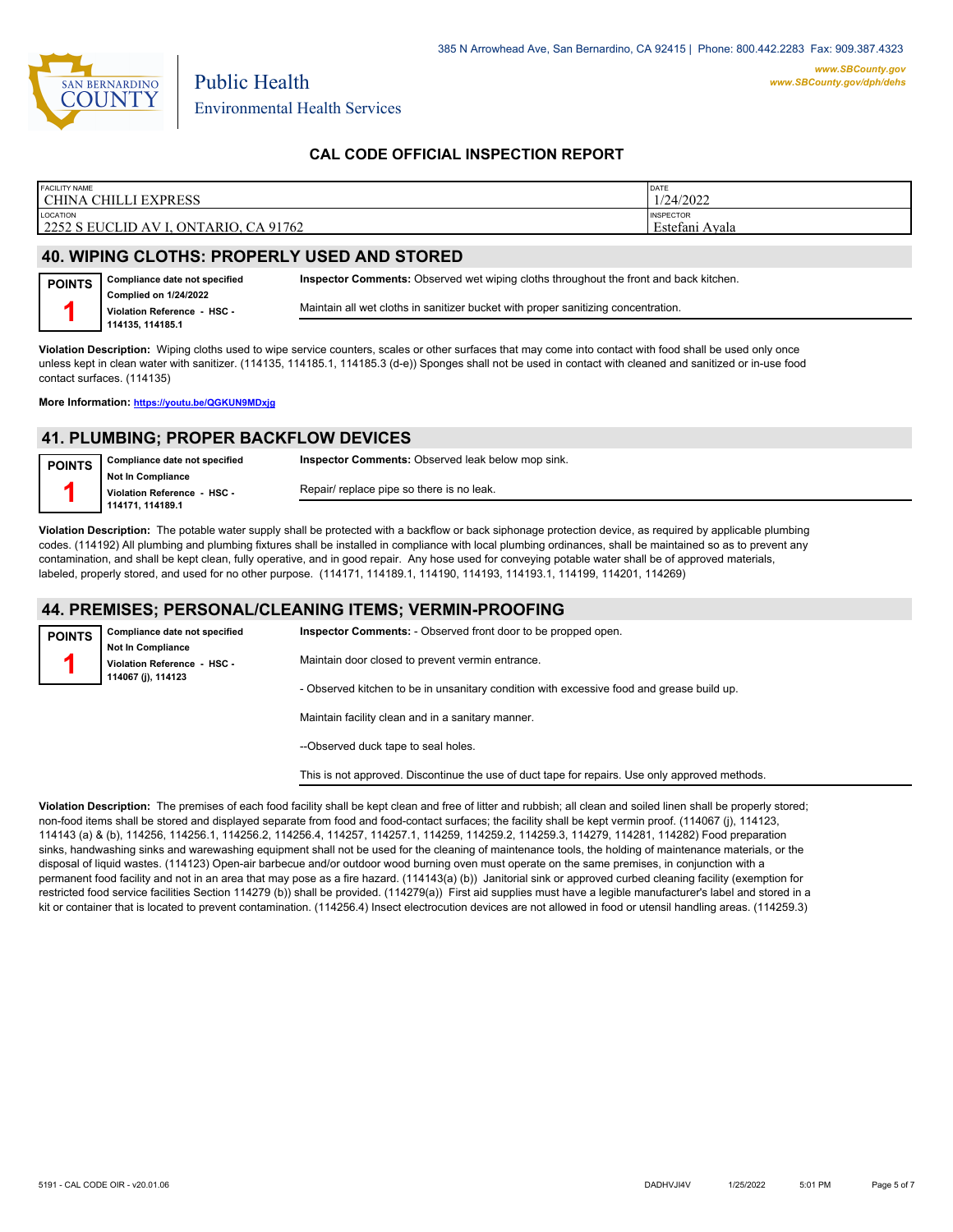

# **CAL CODE OFFICIAL INSPECTION REPORT**

| <b>FACILITY NAME</b><br><b>EXPRESS</b><br>СНІІЛ<br><b>CHINA</b> | <b>DATE</b><br>1/24/2022                           |
|-----------------------------------------------------------------|----------------------------------------------------|
| LOCATION<br>CA 91762<br>  2252 S EUCLID AV I.<br>, ONTARIO.     | <b>INSPECTOR</b><br>$\mathbf{r}$<br>Estefani Ayala |

# **40. WIPING CLOTHS: PROPERLY USED AND STORED**

Public Health

| <b>POINTS</b> | Compliance date not specified                               | <b>Inspector Comments:</b> Observed wet wiping cloths throughout the front and back kitchen. |
|---------------|-------------------------------------------------------------|----------------------------------------------------------------------------------------------|
|               | <b>Complied on 1/24/2022</b><br>Violation Reference - HSC - | Maintain all wet cloths in sanitizer bucket with proper sanitizing concentration.            |
|               | 114135.114185.1                                             |                                                                                              |

**Violation Description:** Wiping cloths used to wipe service counters, scales or other surfaces that may come into contact with food shall be used only once unless kept in clean water with sanitizer. (114135, 114185.1, 114185.3 (d-e)) Sponges shall not be used in contact with cleaned and sanitized or in-use food contact surfaces. (114135)

**More Information: <https://youtu.be/QGKUN9MDxjg>**

### **41. PLUMBING; PROPER BACKFLOW DEVICES**

| <b>POINTS</b> | Compliance date not specified | <b>Inspector Comments: Observed leak below mop sink.</b> |
|---------------|-------------------------------|----------------------------------------------------------|
|               | Not In Compliance             |                                                          |
|               | Violation Reference HSC       | Repair/ replace pipe so there is no leak.                |
|               | 114171.114189.1               |                                                          |

**Violation Description:** The potable water supply shall be protected with a backflow or back siphonage protection device, as required by applicable plumbing codes. (114192) All plumbing and plumbing fixtures shall be installed in compliance with local plumbing ordinances, shall be maintained so as to prevent any contamination, and shall be kept clean, fully operative, and in good repair. Any hose used for conveying potable water shall be of approved materials, labeled, properly stored, and used for no other purpose. (114171, 114189.1, 114190, 114193, 114193.1, 114199, 114201, 114269)

#### **44. PREMISES; PERSONAL/CLEANING ITEMS; VERMIN-PROOFING**

| <b>POINTS</b>               | Compliance date not specified<br><b>Not In Compliance</b> | <b>Inspector Comments:</b> - Observed front door to be propped open.                           |
|-----------------------------|-----------------------------------------------------------|------------------------------------------------------------------------------------------------|
| Violation Reference - HSC - | Maintain door closed to prevent vermin entrance.          |                                                                                                |
|                             | 114067 (i), 114123                                        | - Observed kitchen to be in unsanitary condition with excessive food and grease build up.      |
|                             |                                                           | Maintain facility clean and in a sanitary manner.                                              |
|                             |                                                           | --Observed duck tape to seal holes.                                                            |
|                             |                                                           | This is not approved. Discontinue the use of duct tape for repairs. Use only approved methods. |

**Violation Description:** The premises of each food facility shall be kept clean and free of litter and rubbish; all clean and soiled linen shall be properly stored; non-food items shall be stored and displayed separate from food and food-contact surfaces; the facility shall be kept vermin proof. (114067 (j), 114123, 114143 (a) & (b), 114256, 114256.1, 114256.2, 114256.4, 114257, 114257.1, 114259, 114259.2, 114259.3, 114279, 114281, 114282) Food preparation sinks, handwashing sinks and warewashing equipment shall not be used for the cleaning of maintenance tools, the holding of maintenance materials, or the disposal of liquid wastes. (114123) Open-air barbecue and/or outdoor wood burning oven must operate on the same premises, in conjunction with a permanent food facility and not in an area that may pose as a fire hazard. (114143(a) (b)) Janitorial sink or approved curbed cleaning facility (exemption for restricted food service facilities Section 114279 (b)) shall be provided. (114279(a)) First aid supplies must have a legible manufacturer's label and stored in a kit or container that is located to prevent contamination. (114256.4) Insect electrocution devices are not allowed in food or utensil handling areas. (114259.3)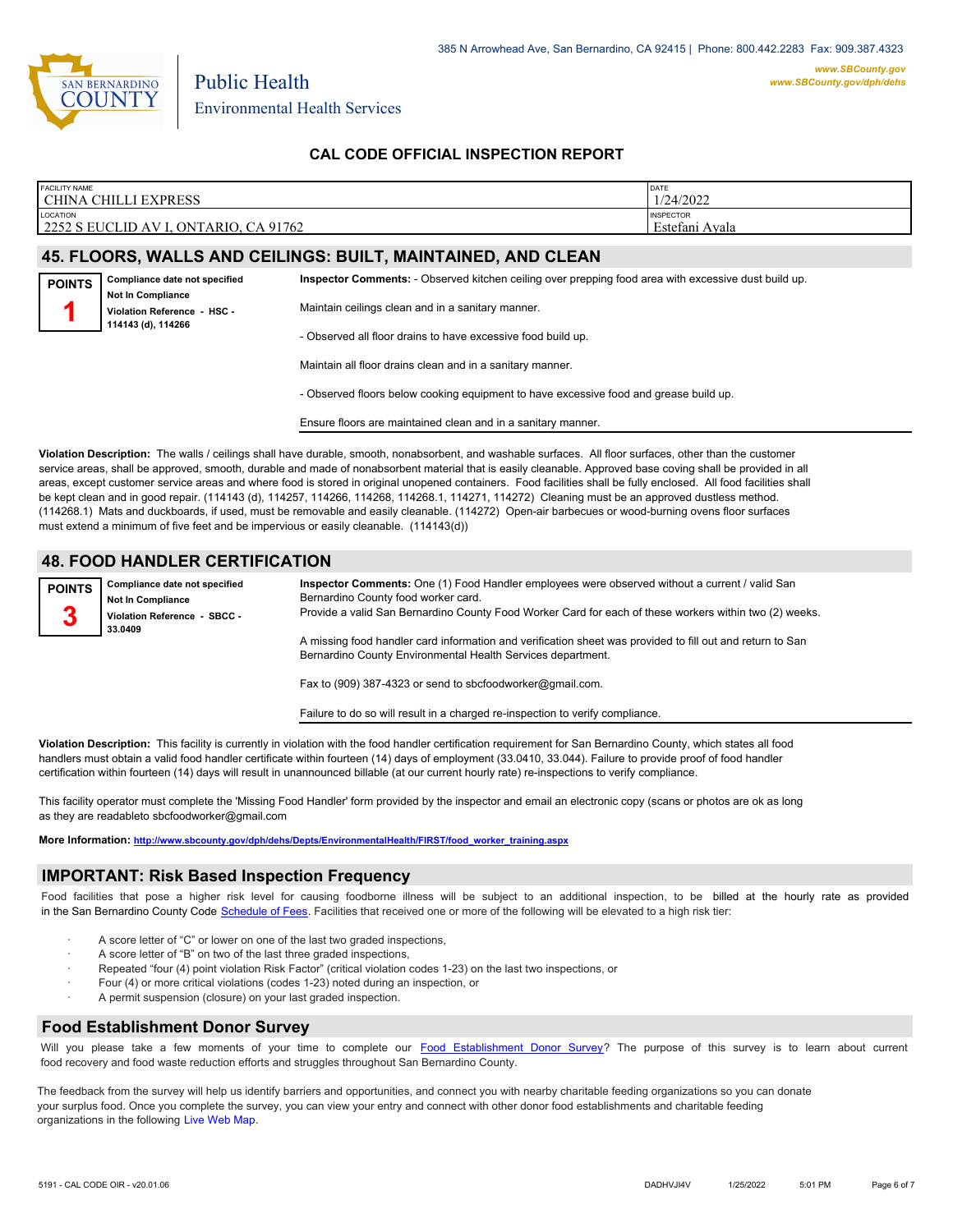

Public Health

# **CAL CODE OFFICIAL INSPECTION REPORT**

| <b>FACILITY NAME</b>                                                 | DATE                                                                 |
|----------------------------------------------------------------------|----------------------------------------------------------------------|
| <b>CHINA CHILLI EXPRESS</b>                                          | 1/24/2022                                                            |
| <b>LOCATION</b><br>2252 S EUCLID AV I.<br>CA 91762<br>, ONT<br>`ARIO | <b>INSPECTOR</b><br>$\sim$ $\sim$ $\sim$ $\sim$<br>Estetani<br>Avala |

### **45. FLOORS, WALLS AND CEILINGS: BUILT, MAINTAINED, AND CLEAN**

| <b>POINTS</b> | Compliance date not specified                                                 | Inspector Comments: - Observed kitchen ceiling over prepping food area with excessive dust build up. |
|---------------|-------------------------------------------------------------------------------|------------------------------------------------------------------------------------------------------|
|               | <b>Not In Compliance</b><br>Violation Reference - HSC -<br>114143 (d), 114266 | Maintain ceilings clean and in a sanitary manner.                                                    |
|               |                                                                               | - Observed all floor drains to have excessive food build up.                                         |

Maintain all floor drains clean and in a sanitary manner.

- Observed floors below cooking equipment to have excessive food and grease build up.

Ensure floors are maintained clean and in a sanitary manner.

**Violation Description:** The walls / ceilings shall have durable, smooth, nonabsorbent, and washable surfaces. All floor surfaces, other than the customer service areas, shall be approved, smooth, durable and made of nonabsorbent material that is easily cleanable. Approved base coving shall be provided in all areas, except customer service areas and where food is stored in original unopened containers. Food facilities shall be fully enclosed. All food facilities shall be kept clean and in good repair. (114143 (d), 114257, 114266, 114268, 114268.1, 114271, 114272) Cleaning must be an approved dustless method. (114268.1) Mats and duckboards, if used, must be removable and easily cleanable. (114272) Open-air barbecues or wood-burning ovens floor surfaces must extend a minimum of five feet and be impervious or easily cleanable. (114143(d))

# **48. FOOD HANDLER CERTIFICATION**

**Compliance date not specified Not In Compliance Violation Reference - SBCC - 33.0409 POINTS 3 Inspector Comments:** One (1) Food Handler employees were observed without a current / valid San Bernardino County food worker card. Provide a valid San Bernardino County Food Worker Card for each of these workers within two (2) weeks. A missing food handler card information and verification sheet was provided to fill out and return to San Bernardino County Environmental Health Services department. Fax to (909) 387-4323 or send to sbcfoodworker@gmail.com.

Failure to do so will result in a charged re-inspection to verify compliance.

**Violation Description:** This facility is currently in violation with the food handler certification requirement for San Bernardino County, which states all food handlers must obtain a valid food handler certificate within fourteen (14) days of employment (33.0410, 33.044). Failure to provide proof of food handler certification within fourteen (14) days will result in unannounced billable (at our current hourly rate) re-inspections to verify compliance.

This facility operator must complete the 'Missing Food Handler' form provided by the inspector and email an electronic copy (scans or photos are ok as long as they are readableto sbcfoodworker@gmail.com

**More Information: [http://www.sbcounty.gov/dph/dehs/Depts/EnvironmentalHealth/FIRST/food\\_worker\\_training.aspx](http://www.sbcounty.gov/dph/dehs/Depts/EnvironmentalHealth/FIRST/food_worker_training.aspx)**

#### **IMPORTANT: Risk Based Inspection Frequency**

Food facilities that pose a higher risk level for causing foodborne illness will be subject to an additional inspection, to be billed at the hourly rate as provided in the San Bernardino Count[y Code Schedule of Fees. Facilitie](https://codelibrary.amlegal.com/codes/sanbernardino/latest/sanberncty_ca/0-0-0-122474#JD_16.0213B)s that received one or more of the following will be elevated to a high risk tier:

- A score letter of "C" or lower on one of the last two graded inspections,
- A score letter of "B" on two of the last three graded inspections,
- Repeated "four (4) point violation Risk Factor" (critical violation codes 1-23) on the last two inspections, or
- · Four (4) or more critical violations (codes 1-23) noted during an inspection, or
- A permit suspension (closure) on your last graded inspection.

#### **Food Establishment Donor Survey**

Will you please take a few moments of your time to co[mplete our Food Establishment Donor Survey?](https://survey123.arcgis.com/share/626bb0fb21674c82832b0c0d557c5e80?field:faid=FA0013393&field:facility_name=CHINA%20CHILLI%20EXPRESS¢er=34.03,-117.65&field:phone=9095515599) The purpose of this survey is to learn about current food recovery and food waste reduction efforts and struggles throughout San Bernardino County.

The feedback from the survey will help us identify barriers and opportunities, and connect you with nearby charitable feeding organizations so you can donate your surplus food. Once you complete the survey, you can view your entry and connect with other donor food establishments and charitable feeding organizations in the fol[lowing Live Web Map.](https://arcg.is/WvjGb)